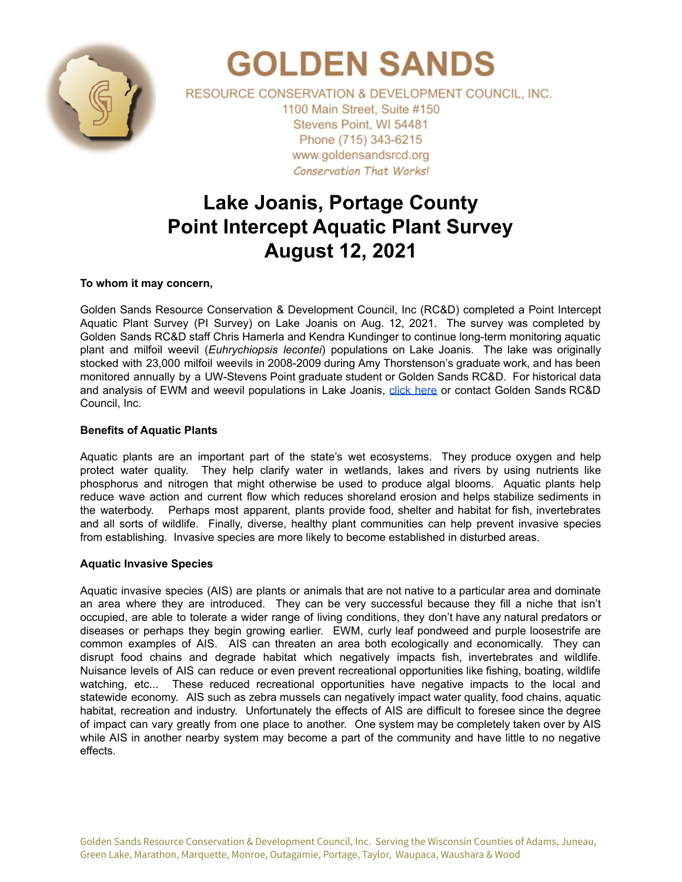

# **GOLDEN SANDS**

RESOURCE CONSERVATION & DEVELOPMENT COUNCIL. INC. 1100 Main Street, Suite #150 Stevens Point, WI 54481 Phone (715) 343-6215 www.goldensandsrcd.org **Conservation That Works!** 

# **Lake Joanis, Portage County Point Intercept Aquatic Plant Survey August 12, 2021**

## **To whom it may concern,**

Golden Sands Resource Conservation & Development Council, Inc (RC&D) completed a Point Intercept Aquatic Plant Survey (PI Survey) on Lake Joanis on Aug. 12, 2021. The survey was completed by Golden Sands RC&D staff Chris Hamerla and Kendra Kundinger to continue long-term monitoring aquatic plant and milfoil weevil (*Euhrychiopsis lecontei*) populations on Lake Joanis. The lake was originally stocked with 23,000 milfoil weevils in 2008-2009 during Amy Thorstenson's graduate work, and has been monitored annually by a UW-Stevens Point graduate student or Golden Sands RC&D. For historical data and analysis of EWM and weevil populations in Lake Joanis, click [here](https://docs.google.com/document/d/1oeeBIXrM86MzLrjsf8HnNWJ49sUUlL_G8TYuevUJQ3Y/edit?usp=sharing) or contact Golden Sands RC&D Council, Inc.

## **Benefits of Aquatic Plants**

Aquatic plants are an important part of the state's wet ecosystems. They produce oxygen and help protect water quality. They help clarify water in wetlands, lakes and rivers by using nutrients like phosphorus and nitrogen that might otherwise be used to produce algal blooms. Aquatic plants help reduce wave action and current flow which reduces shoreland erosion and helps stabilize sediments in the waterbody. Perhaps most apparent, plants provide food, shelter and habitat for fish, invertebrates and all sorts of wildlife. Finally, diverse, healthy plant communities can help prevent invasive species from establishing. Invasive species are more likely to become established in disturbed areas.

## **Aquatic Invasive Species**

Aquatic invasive species (AIS) are plants or animals that are not native to a particular area and dominate an area where they are introduced. They can be very successful because they fill a niche that isn't occupied, are able to tolerate a wider range of living conditions, they don't have any natural predators or diseases or perhaps they begin growing earlier. EWM, curly leaf pondweed and purple loosestrife are common examples of AIS. AIS can threaten an area both ecologically and economically. They can disrupt food chains and degrade habitat which negatively impacts fish, invertebrates and wildlife. Nuisance levels of AIS can reduce or even prevent recreational opportunities like fishing, boating, wildlife watching, etc... These reduced recreational opportunities have negative impacts to the local and statewide economy. AIS such as zebra mussels can negatively impact water quality, food chains, aquatic habitat, recreation and industry. Unfortunately the effects of AIS are difficult to foresee since the degree of impact can vary greatly from one place to another. One system may be completely taken over by AIS while AIS in another nearby system may become a part of the community and have little to no negative effects.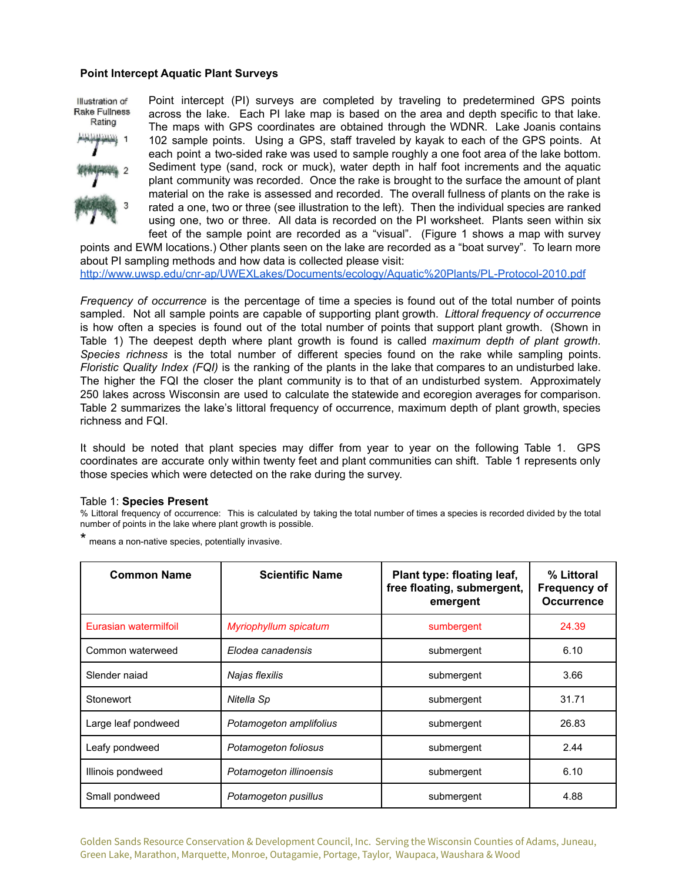#### **Point Intercept Aquatic Plant Surveys**

Point intercept (PI) surveys are completed by traveling to predetermined GPS points Illustration of Rake Fullness across the lake. Each PI lake map is based on the area and depth specific to that lake. Rating The maps with GPS coordinates are obtained through the WDNR. Lake Joanis contains 102 sample points. Using a GPS, staff traveled by kayak to each of the GPS points. At each point a two-sided rake was used to sample roughly a one foot area of the lake bottom. Sediment type (sand, rock or muck), water depth in half foot increments and the aquatic plant community was recorded. Once the rake is brought to the surface the amount of plant material on the rake is assessed and recorded. The overall fullness of plants on the rake is rated a one, two or three (see illustration to the left). Then the individual species are ranked using one, two or three. All data is recorded on the PI worksheet. Plants seen within six feet of the sample point are recorded as a "visual". (Figure 1 shows a map with survey

points and EWM locations.) Other plants seen on the lake are recorded as a "boat survey". To learn more about PI sampling methods and how data is collected please visit: <http://www.uwsp.edu/cnr-ap/UWEXLakes/Documents/ecology/Aquatic%20Plants/PL-Protocol-2010.pdf>

*Frequency of occurrence* is the percentage of time a species is found out of the total number of points sampled. Not all sample points are capable of supporting plant growth. *Littoral frequency of occurrence* is how often a species is found out of the total number of points that support plant growth. (Shown in Table 1) The deepest depth where plant growth is found is called *maximum depth of plant growth*. *Species richness* is the total number of different species found on the rake while sampling points. *Floristic Quality Index (FQI)* is the ranking of the plants in the lake that compares to an undisturbed lake. The higher the FQI the closer the plant community is to that of an undisturbed system. Approximately 250 lakes across Wisconsin are used to calculate the statewide and ecoregion averages for comparison. Table 2 summarizes the lake's littoral frequency of occurrence, maximum depth of plant growth, species richness and FQI.

It should be noted that plant species may differ from year to year on the following Table 1. GPS coordinates are accurate only within twenty feet and plant communities can shift. Table 1 represents only those species which were detected on the rake during the survey.

#### Table 1: **Species Present**

% Littoral frequency of occurrence: This is calculated by taking the total number of times a species is recorded divided by the total number of points in the lake where plant growth is possible.

means a non-native species, potentially invasive.

| <b>Common Name</b>    | <b>Scientific Name</b>  | Plant type: floating leaf,<br>free floating, submergent,<br>emergent | % Littoral<br><b>Frequency of</b><br><b>Occurrence</b> |
|-----------------------|-------------------------|----------------------------------------------------------------------|--------------------------------------------------------|
| Eurasian watermilfoil | Myriophyllum spicatum   | sumbergent                                                           | 24.39                                                  |
| Common waterweed      | Elodea canadensis       | submergent                                                           | 6.10                                                   |
| Slender najad         | Najas flexilis          | submergent                                                           | 3.66                                                   |
| Stonewort             | Nitella Sp              | submergent                                                           | 31.71                                                  |
| Large leaf pondweed   | Potamogeton amplifolius | submergent                                                           | 26.83                                                  |
| Leafy pondweed        | Potamogeton foliosus    | submergent                                                           | 2.44                                                   |
| Illinois pondweed     | Potamogeton illinoensis | submergent                                                           | 6.10                                                   |
| Small pondweed        | Potamogeton pusillus    | submergent                                                           | 4.88                                                   |